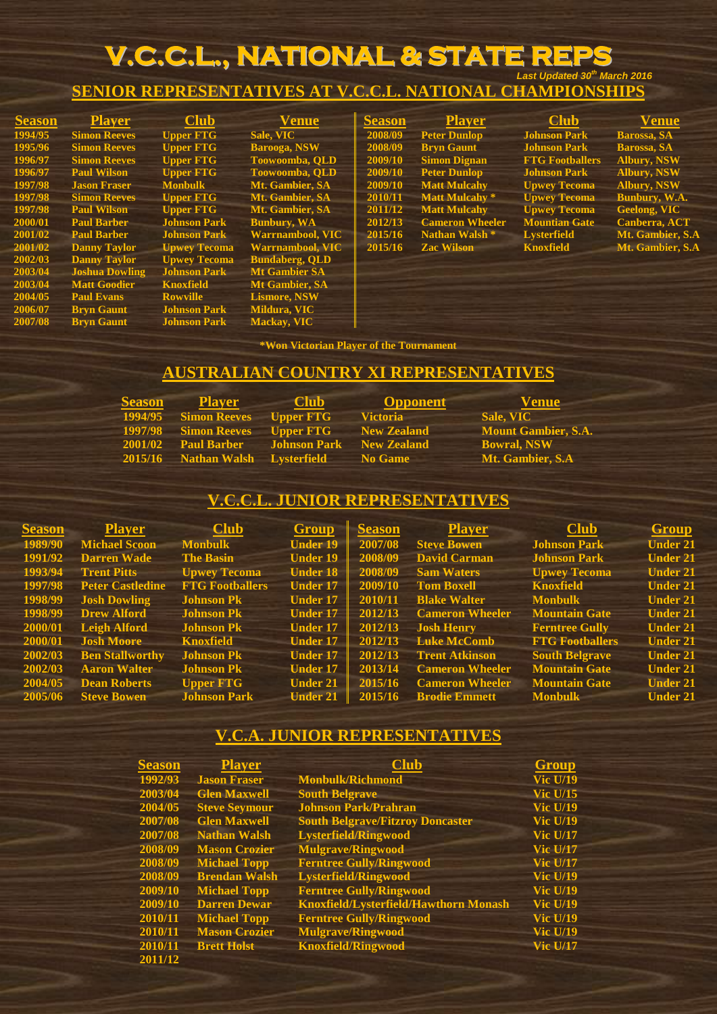#### **V.C.C.L., NATIONAL & STATE REPS** *Last Updated <sup>30</sup>th March 2016*

**SENIOR REPRESENTATIVES AT V.C.C.L. NATIONAL CHAMPIONSHIPS**

| <b>Season</b> | <b>Player</b>         | <b>Club</b>         | <b>Venue</b>            | <b>Season</b> | <b>Player</b>          | <b>Club</b>            | <b>Venue</b>         |
|---------------|-----------------------|---------------------|-------------------------|---------------|------------------------|------------------------|----------------------|
| 1994/95       | <b>Simon Reeves</b>   | <b>Upper FTG</b>    | Sale, VIC               | 2008/09       | <b>Peter Dunlop</b>    | <b>Johnson Park</b>    | <b>Barossa, SA</b>   |
| 1995/96       | <b>Simon Reeves</b>   | <b>Upper FTG</b>    | <b>Barooga, NSW</b>     | 2008/09       | <b>Bryn Gaunt</b>      | <b>Johnson Park</b>    | <b>Barossa, SA</b>   |
| 1996/97       | <b>Simon Reeves</b>   | <b>Upper FTG</b>    | <b>Toowoomba, OLD</b>   | 2009/10       | <b>Simon Dignan</b>    | <b>FTG Footballers</b> | <b>Albury, NSW</b>   |
| 1996/97       | <b>Paul Wilson</b>    | <b>Upper FTG</b>    | Toowoomba, OLD          | 2009/10       | <b>Peter Dunlop</b>    | <b>Johnson Park</b>    | <b>Albury, NSW</b>   |
| 1997/98       | <b>Jason Fraser</b>   | <b>Monbulk</b>      | Mt. Gambier, SA         | 2009/10       | <b>Matt Mulcahy</b>    | <b>Upwey Tecoma</b>    | <b>Albury, NSW</b>   |
| 1997/98       | <b>Simon Reeves</b>   | <b>Upper FTG</b>    | Mt. Gambier, SA         | 2010/11       | <b>Matt Mulcahy</b> *  | <b>Upwey Tecoma</b>    | Bunbury, W.A.        |
| 1997/98       | <b>Paul Wilson</b>    | <b>Upper FTG</b>    | Mt. Gambier, SA         | 2011/12       | <b>Matt Mulcahy</b>    | <b>Upwey Tecoma</b>    | <b>Geelong, VIC</b>  |
| 2000/01       | <b>Paul Barber</b>    | <b>Johnson Park</b> | <b>Bunbury, WA</b>      | 2012/13       | <b>Cameron Wheeler</b> | <b>Mountian Gate</b>   | <b>Canberra, ACT</b> |
| 2001/02       | <b>Paul Barber</b>    | <b>Johnson Park</b> | <b>Warrnambool, VIC</b> | 2015/16       | Nathan Walsh *         | <b>Lysterfield</b>     | Mt. Gambier, S.A.    |
| 2001/02       | <b>Danny Taylor</b>   | <b>Upwey Tecoma</b> | <b>Warrnambool, VIC</b> | 2015/16       | <b>Zac Wilson</b>      | <b>Knoxfield</b>       | Mt. Gambier, S.A.    |
| 2002/03       | <b>Danny Taylor</b>   | <b>Upwey Tecoma</b> | <b>Bundaberg, QLD</b>   |               |                        |                        |                      |
| 2003/04       | <b>Joshua Dowling</b> | <b>Johnson Park</b> | <b>Mt Gambier SA</b>    |               |                        |                        |                      |
| 2003/04       | <b>Matt Goodier</b>   | <b>Knoxfield</b>    | <b>Mt Gambier, SA</b>   |               |                        |                        |                      |
| 2004/05       | <b>Paul Evans</b>     | <b>Rowville</b>     | <b>Lismore, NSW</b>     |               |                        |                        |                      |
| 2006/07       | <b>Bryn Gaunt</b>     | <b>Johnson Park</b> | <b>Mildura, VIC</b>     |               |                        |                        |                      |
| 2007/08       | <b>Bryn Gaunt</b>     | <b>Johnson Park</b> | <b>Mackay</b> , VIC     |               |                        |                        |                      |
|               |                       |                     |                         |               |                        |                        |                      |

**\*Won Victorian Player of the Tournament**

#### **AUSTRALIAN COUNTRY XI REPRESENTATIVES**

| <b>Season</b> | <b>Player</b>                                | <b>Club</b> | <b>Opponent</b>    | <b>Venue</b>               |
|---------------|----------------------------------------------|-------------|--------------------|----------------------------|
|               | 1994/95 Simon Reeves Upper FTG               |             | <b>Victoria</b>    | Sale, VIC                  |
|               | 1997/98 Simon Reeves Upper FTG               |             | <b>New Zealand</b> | <b>Mount Gambier, S.A.</b> |
|               | 2001/02 Paul Barber Johnson Park New Zealand |             |                    | <b>Bowral, NSW</b>         |
|               | 2015/16 Nathan Walsh Lysterfield No Game     |             |                    | Mt. Gambier, S.A           |

### **V.C.C.L. JUNIOR REPRESENTATIVES**

| <b>Season</b> | <b>Player</b>           | <b>Club</b>            | Group           | <b>Season</b> | <b>Player</b>          | $\overline{\text{Club}}$ | <b>Group</b>    |
|---------------|-------------------------|------------------------|-----------------|---------------|------------------------|--------------------------|-----------------|
| 1989/90       | <b>Michael Scoon</b>    | <b>Monbulk</b>         | <b>Under 19</b> | 2007/08       | <b>Steve Bowen</b>     | <b>Johnson Park</b>      | <b>Under 21</b> |
| 1991/92       | <b>Darren Wade</b>      | <b>The Basin</b>       | <b>Under 19</b> | 2008/09       | <b>David Carman</b>    | <b>Johnson Park</b>      | <b>Under 21</b> |
| 1993/94       | <b>Trent Pitts</b>      | <b>Upwey Tecoma</b>    | <b>Under 18</b> | 2008/09       | <b>Sam Waters</b>      | <b>Upwey Tecoma</b>      | <b>Under 21</b> |
| 1997/98       | <b>Peter Castledine</b> | <b>FTG Footballers</b> | <b>Under 17</b> | 2009/10       | <b>Tom Boxell</b>      | <b>Knoxfield</b>         | <b>Under 21</b> |
| 1998/99       | <b>Josh Dowling</b>     | <b>Johnson Pk</b>      | Under 17        | 2010/11       | <b>Blake Walter</b>    | <b>Monbulk</b>           | <b>Under 21</b> |
| 1998/99       | <b>Drew Alford</b>      | <b>Johnson Pk</b>      | Under 17        | $-2012/13$    | <b>Cameron Wheeler</b> | <b>Mountain Gate</b>     | <b>Under 21</b> |
| 2000/01       | <b>Leigh Alford</b>     | <b>Johnson Pk</b>      | <b>Under 17</b> | 2012/13       | <b>Josh Henry</b>      | <b>Ferntree Gully</b>    | <b>Under 21</b> |
| 2000/01       | <b>Josh Moore</b>       | <b>Knoxfield</b>       | <b>Under 17</b> | 2012/13       | <b>Luke McComb</b>     | <b>FTG Footballers</b>   | <b>Under 21</b> |
| 2002/03       | <b>Ben Stallworthy</b>  | <b>Johnson Pk</b>      | <b>Under 17</b> | 2012/13       | <b>Trent Atkinson</b>  | <b>South Belgrave</b>    | <b>Under 21</b> |
| 2002/03       | <b>Aaron Walter</b>     | <b>Johnson Pk</b>      | <b>Under 17</b> | 2013/14       | <b>Cameron Wheeler</b> | <b>Mountain Gate</b>     | <b>Under 21</b> |
| 2004/05       | <b>Dean Roberts</b>     | <b>Upper FTG</b>       | <b>Under 21</b> | 2015/16       | <b>Cameron Wheeler</b> | <b>Mountain Gate</b>     | <b>Under 21</b> |
| 2005/06       | <b>Steve Bowen</b>      | <b>Johnson Park</b>    | <b>Under 21</b> | 2015/16       | <b>Brodie Emmett</b>   | <b>Monbulk</b>           | <b>Under 21</b> |

### **V.C.A. JUNIOR REPRESENTATIVES**

| <b>Season</b> | <b>Player</b>        | <b>Club</b>                                  | <b>Group</b>          |
|---------------|----------------------|----------------------------------------------|-----------------------|
| 1992/93       | <b>Jason Fraser</b>  | <b>Monbulk/Richmond</b>                      | <b>Vic U/19</b>       |
| 2003/04       | <b>Glen Maxwell</b>  | <b>South Belgrave</b>                        | <b>Vic U/15</b>       |
| 2004/05       | <b>Steve Seymour</b> | <b>Johnson Park/Prahran</b>                  | <b>Vic U/19</b>       |
| 2007/08       | <b>Glen Maxwell</b>  | <b>South Belgrave/Fitzroy Doncaster</b>      | <b>Vic U/19</b>       |
| 2007/08       | <b>Nathan Walsh</b>  | <b>Lysterfield/Ringwood</b>                  | <b>Vic U/17</b>       |
| 2008/09       | <b>Mason Crozier</b> | <b>Mulgrave/Ringwood</b>                     | <b>Vic U/17</b>       |
| 2008/09       | <b>Michael Topp</b>  | <b>Ferntree Gully/Ringwood</b>               | <b>Vic U/17</b>       |
| 2008/09       | <b>Brendan Walsh</b> | <b>Lysterfield/Ringwood</b>                  | <b>Vic U/19</b>       |
| 2009/10       | <b>Michael Topp</b>  | <b>Ferntree Gully/Ringwood</b>               | <b>Vic U/19</b>       |
| 2009/10       | <b>Darren Dewar</b>  | <b>Knoxfield/Lysterfield/Hawthorn Monash</b> | <b>Vic U/19</b>       |
| 2010/11       | <b>Michael Topp</b>  | <b>Ferntree Gully/Ringwood</b>               | <b>Vic U/19</b>       |
| 2010/11       | <b>Mason Crozier</b> | <b>Mulgrave/Ringwood</b>                     | <b>Vic U/19</b>       |
| 2010/11       | <b>Brett Holst</b>   | <b>Knoxfield/Ringwood</b>                    | Vic $\overline{U/17}$ |
| 2011/12       |                      |                                              |                       |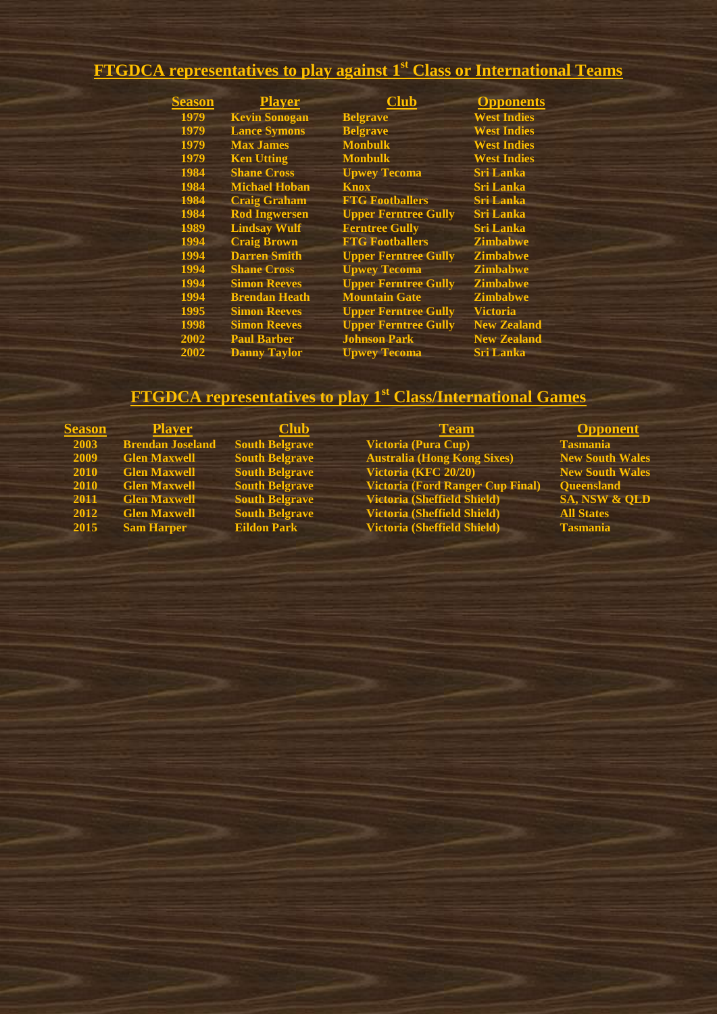#### **FTGDCA representatives to play against 1 st Class or International Teams**

| <b>Season</b> | <u>Player</u>        | <b>lub</b>                  | <b>Opponents</b>   |
|---------------|----------------------|-----------------------------|--------------------|
| 1979          | <b>Kevin Sonogan</b> | <b>Belgrave</b>             | <b>West Indies</b> |
| 1979          | <b>Lance Symons</b>  | <b>Belgrave</b>             | <b>West Indies</b> |
| 1979          | <b>Max James</b>     | <b>Monbulk</b>              | <b>West Indies</b> |
| 1979          | <b>Ken Utting</b>    | <b>Monbulk</b>              | <b>West Indies</b> |
| 1984          | <b>Shane Cross</b>   | <b>Upwey Tecoma</b>         | <b>Sri Lanka</b>   |
| 1984          | <b>Michael Hoban</b> | <b>Knox</b>                 | <b>Sri Lanka</b>   |
| 1984          | <b>Craig Graham</b>  | <b>FTG Footballers</b>      | <b>Sri Lanka</b>   |
| 1984          | <b>Rod Ingwersen</b> | <b>Upper Ferntree Gully</b> | <b>Sri Lanka</b>   |
| 1989          | <b>Lindsay Wulf</b>  | <b>Ferntree Gully</b>       | <b>Sri Lanka</b>   |
| 1994          | <b>Craig Brown</b>   | <b>FTG Footballers</b>      | <b>Zimbabwe</b>    |
| 1994          | <b>Darren Smith</b>  | <b>Upper Ferntree Gully</b> | <b>Zimbabwe</b>    |
| 1994          | <b>Shane Cross</b>   | <b>Upwey Tecoma</b>         | <b>Zimbabwe</b>    |
| 1994          | <b>Simon Reeves</b>  | <b>Upper Ferntree Gully</b> | <b>Zimbabwe</b>    |
| 1994          | <b>Brendan Heath</b> | <b>Mountain Gate</b>        | <b>Zimbabwe</b>    |
| 1995          | <b>Simon Reeves</b>  | <b>Upper Ferntree Gully</b> | <b>Victoria</b>    |
| 1998          | <b>Simon Reeves</b>  | <b>Upper Ferntree Gully</b> | <b>New Zealand</b> |
| 2002          | <b>Paul Barber</b>   | <b>Johnson Park</b>         | <b>New Zealand</b> |
| 2002          | <b>Danny Taylor</b>  | <b>Upwey Tecoma</b>         | <b>Sri Lanka</b>   |

# **FTGDCA representatives to play 1st Class/International Games**

| <b>Season</b> | <b>Player</b>           | <b>Club</b>           | <b>Team</b>                             | <b>Opponent</b>          |
|---------------|-------------------------|-----------------------|-----------------------------------------|--------------------------|
| 2003          | <b>Brendan Joseland</b> | <b>South Belgrave</b> | Victoria (Pura Cup)                     | <b>Tasmania</b>          |
| 2009          | <b>Glen Maxwell</b>     | <b>South Belgrave</b> | <b>Australia (Hong Kong Sixes)</b>      | <b>New South Wales</b>   |
| 2010          | <b>Glen Maxwell</b>     | <b>South Belgrave</b> | Victoria (KFC 20/20)                    | <b>New South Wales</b>   |
| 2010          | <b>Glen Maxwell</b>     | <b>South Belgrave</b> | <b>Victoria (Ford Ranger Cup Final)</b> | <b>Queensland</b>        |
| 2011          | <b>Glen Maxwell</b>     | <b>South Belgrave</b> | <b>Victoria (Sheffield Shield)</b>      | <b>SA, NSW &amp; QLD</b> |
| 2012          | <b>Glen Maxwell</b>     | <b>South Belgrave</b> | <b>Victoria (Sheffield Shield)</b>      | <b>All States</b>        |
| 2015          | <b>Sam Harper</b>       | <b>Eildon Park</b>    | <b>Victoria (Sheffield Shield)</b>      | <b>Tasmania</b>          |
|               |                         |                       |                                         |                          |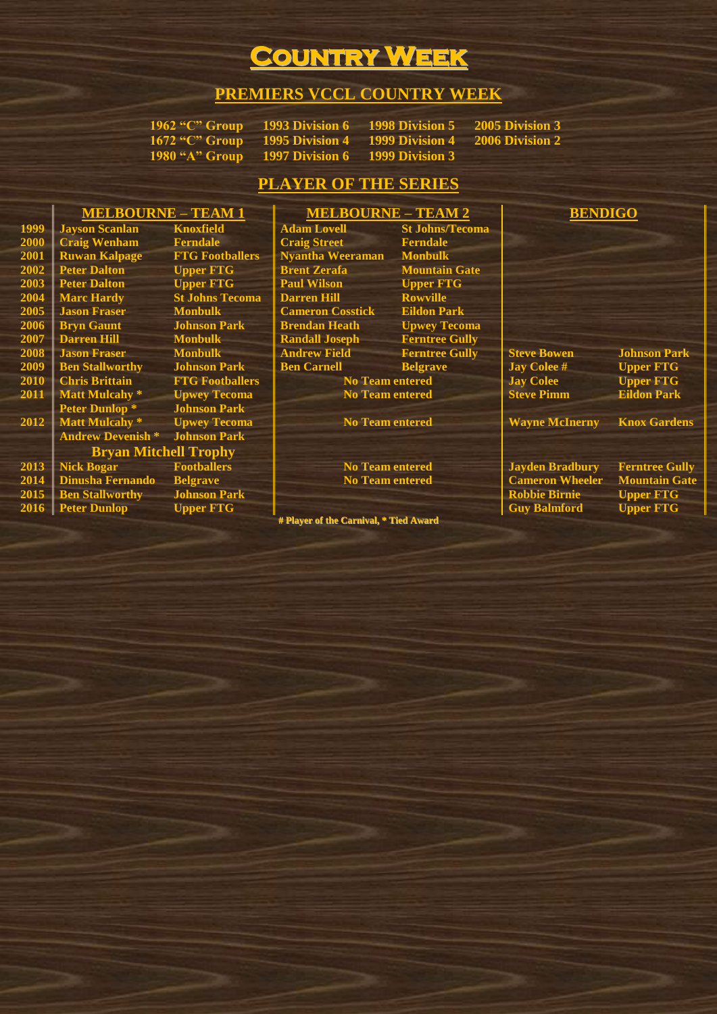# **Country Week**

## **PREMIERS VCCL COUNTRY WEEK**

**1962 "C" Group 1993 Division 6 1998 Division 5 2005 Division 3 1980 "A" Group 1997 Division 6 1999 Division 3**

**1995 Division 4 1999 Division 4 2006 Division 2 1997 Division 6 1999 Division 3** 

## **PLAYER OF THE SERIES**

|      | <b>MELBOURNE - TEAM 1</b>              |                        | <b>MELBOURNE - TEAM 2</b> |                        | <b>BENDIGO</b>         |                       |  |  |
|------|----------------------------------------|------------------------|---------------------------|------------------------|------------------------|-----------------------|--|--|
| 1999 | <b>Jayson Scanlan</b>                  | <b>Knoxfield</b>       | <b>Adam Lovell</b>        | <b>St Johns/Tecoma</b> |                        |                       |  |  |
| 2000 | <b>Craig Wenham</b>                    | <b>Ferndale</b>        | <b>Craig Street</b>       | <b>Ferndale</b>        |                        |                       |  |  |
| 2001 | <b>Ruwan Kalpage</b>                   | <b>FTG Footballers</b> | <b>Nyantha Weeraman</b>   | <b>Monbulk</b>         |                        |                       |  |  |
| 2002 | <b>Peter Dalton</b>                    | <b>Upper FTG</b>       | <b>Brent Zerafa</b>       | <b>Mountain Gate</b>   |                        |                       |  |  |
| 2003 | <b>Peter Dalton</b>                    | <b>Upper FTG</b>       | <b>Paul Wilson</b>        | <b>Upper FTG</b>       |                        |                       |  |  |
| 2004 | <b>Marc Hardy</b>                      | <b>St Johns Tecoma</b> | <b>Darren Hill</b>        | <b>Rowville</b>        |                        |                       |  |  |
| 2005 | <b>Jason Fraser</b>                    | <b>Monbulk</b>         | <b>Cameron Cosstick</b>   | <b>Eildon Park</b>     |                        |                       |  |  |
| 2006 | <b>Bryn Gaunt</b>                      | <b>Johnson Park</b>    | <b>Brendan Heath</b>      | <b>Upwey Tecoma</b>    |                        |                       |  |  |
| 2007 | <b>Darren Hill</b>                     | <b>Monbulk</b>         | <b>Randall Joseph</b>     | <b>Ferntree Gully</b>  |                        |                       |  |  |
| 2008 | <b>Jason Fraser</b>                    | <b>Monbulk</b>         | <b>Andrew Field</b>       | <b>Ferntree Gully</b>  | <b>Steve Bowen</b>     | <b>Johnson Park</b>   |  |  |
| 2009 | <b>Ben Stallworthy</b>                 | <b>Johnson Park</b>    | <b>Ben Carnell</b>        | <b>Belgrave</b>        | <b>Jay Colee #</b>     | <b>Upper FTG</b>      |  |  |
| 2010 | <b>Chris Brittain</b>                  | <b>FTG Footballers</b> | <b>No Team entered</b>    |                        | <b>Jay Colee</b>       | <b>Upper FTG</b>      |  |  |
| 2011 | <b>Matt Mulcahy</b> *                  | <b>Upwey Tecoma</b>    | <b>No Team entered</b>    |                        | <b>Steve Pimm</b>      | <b>Eildon Park</b>    |  |  |
|      | <b>Peter Dunlop*</b>                   | <b>Johnson Park</b>    |                           |                        |                        |                       |  |  |
| 2012 | <b>Matt Mulcahy</b> *                  | <b>Upwey Tecoma</b>    | <b>No Team entered</b>    |                        | <b>Wayne McInerny</b>  | <b>Knox Gardens</b>   |  |  |
|      | <b>Andrew Devenish *</b>               | <b>Johnson Park</b>    |                           |                        |                        |                       |  |  |
|      | <b>Bryan Mitchell Trophy</b>           |                        |                           |                        |                        |                       |  |  |
| 2013 | <b>Nick Bogar</b>                      | <b>Footballers</b>     | <b>No Team entered</b>    |                        | <b>Jayden Bradbury</b> | <b>Ferntree Gully</b> |  |  |
| 2014 | <b>Dinusha Fernando</b>                | <b>Belgrave</b>        | <b>No Team entered</b>    |                        | <b>Cameron Wheeler</b> | <b>Mountain Gate</b>  |  |  |
| 2015 | <b>Ben Stallworthy</b>                 | <b>Johnson Park</b>    |                           |                        | <b>Robbie Birnie</b>   | <b>Upper FTG</b>      |  |  |
| 2016 | <b>Peter Dunlop</b>                    | <b>Upper FTG</b>       |                           |                        | <b>Guy Balmford</b>    | <b>Upper FTG</b>      |  |  |
|      | # Player of the Carnival, * Tied Award |                        |                           |                        |                        |                       |  |  |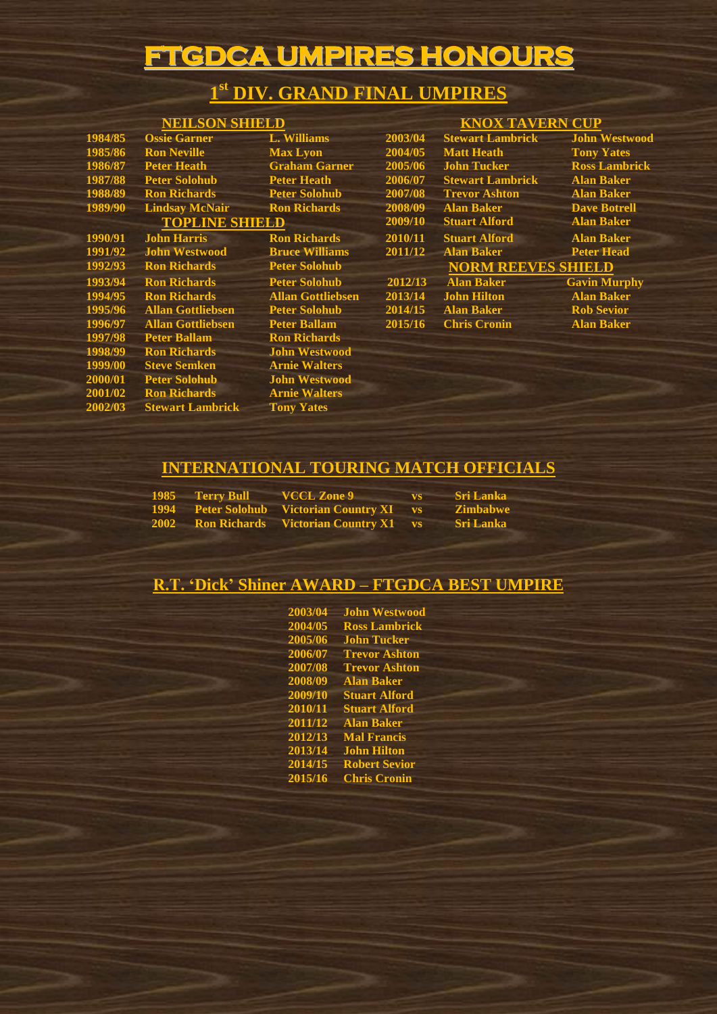# **FTGDCA UMPIRES HONOURS**

# **1 st DIV. GRAND FINAL UMPIRES**

|         | <b>NEILSON SHIELD</b>    |                          | <b>KNOX TAVERN CUP</b> |                           |                      |  |
|---------|--------------------------|--------------------------|------------------------|---------------------------|----------------------|--|
| 1984/85 | <b>Ossie Garner</b>      | <b>L. Williams</b>       | 2003/04                | <b>Stewart Lambrick</b>   | <b>John Westwood</b> |  |
| 1985/86 | <b>Ron Neville</b>       | <b>Max Lyon</b>          | 2004/05                | <b>Matt Heath</b>         | <b>Tony Yates</b>    |  |
| 1986/87 | <b>Peter Heath</b>       | <b>Graham Garner</b>     | 2005/06                | <b>John Tucker</b>        | <b>Ross Lambrick</b> |  |
| 1987/88 | <b>Peter Solohub</b>     | <b>Peter Heath</b>       | 2006/07                | <b>Stewart Lambrick</b>   | <b>Alan Baker</b>    |  |
| 1988/89 | <b>Ron Richards</b>      | <b>Peter Solohub</b>     | 2007/08                | <b>Trevor Ashton</b>      | <b>Alan Baker</b>    |  |
| 1989/90 | <b>Lindsay McNair</b>    | <b>Ron Richards</b>      | 2008/09                | <b>Alan Baker</b>         | <b>Dave Botrell</b>  |  |
|         | <b>TOPLINE SHIELD</b>    |                          | 2009/10                | <b>Stuart Alford</b>      | <b>Alan Baker</b>    |  |
| 1990/91 | <b>John Harris</b>       | <b>Ron Richards</b>      | 2010/11                | <b>Stuart Alford</b>      | <b>Alan Baker</b>    |  |
| 1991/92 | <b>John Westwood</b>     | <b>Bruce Williams</b>    | 2011/12                | <b>Alan Baker</b>         | <b>Peter Head</b>    |  |
| 1992/93 | <b>Ron Richards</b>      | <b>Peter Solohub</b>     |                        | <b>NORM REEVES SHIELD</b> |                      |  |
| 1993/94 | <b>Ron Richards</b>      | <b>Peter Solohub</b>     | 2012/13                | <b>Alan Baker</b>         | <b>Gavin Murphy</b>  |  |
| 1994/95 | <b>Ron Richards</b>      | <b>Allan Gottliebsen</b> | 2013/14                | <b>John Hilton</b>        | <b>Alan Baker</b>    |  |
| 1995/96 | <b>Allan Gottliebsen</b> | <b>Peter Solohub</b>     | 2014/15                | <b>Alan Baker</b>         | <b>Rob Sevior</b>    |  |
| 1996/97 | <b>Allan Gottliebsen</b> | <b>Peter Ballam</b>      | 2015/16                | <b>Chris Cronin</b>       | <b>Alan Baker</b>    |  |
| 1997/98 | <b>Peter Ballam</b>      | <b>Ron Richards</b>      |                        |                           |                      |  |
| 1998/99 | <b>Ron Richards</b>      | <b>John Westwood</b>     |                        |                           |                      |  |
| 1999/00 | <b>Steve Semken</b>      | <b>Arnie Walters</b>     |                        |                           |                      |  |
| 2000/01 | <b>Peter Solohub</b>     | <b>John Westwood</b>     |                        |                           |                      |  |
| 2001/02 | <b>Ron Richards</b>      | <b>Arnie Walters</b>     |                        |                           |                      |  |
| 2002/03 | <b>Stewart Lambrick</b>  | <b>Tony Yates</b>        |                        |                           |                      |  |

# **INTERNATIONAL TOURING MATCH OFFICIALS**

| 1985 Terry Bull VCCL Zone 9 |                                                  | vs Sri Lanka     |
|-----------------------------|--------------------------------------------------|------------------|
|                             | 1994 Peter Solohub Victorian Country XI vs       | <b>Zimbabwe</b>  |
|                             | <b>2002</b> Ron Richards Victorian Country X1 vs | <b>Sri Lanka</b> |

## **R.T. 'Dick' Shiner AWARD – FTGDCA BEST UMPIRE**

| 2003/04 | <b>John Westwood</b> |
|---------|----------------------|
| 2004/05 | <b>Ross Lambrick</b> |
| 2005/06 | <b>John Tucker</b>   |
| 2006/07 | <b>Trevor Ashton</b> |
| 2007/08 | <b>Trevor Ashton</b> |
| 2008/09 | <b>Alan Baker</b>    |
| 2009/10 | <b>Stuart Alford</b> |
| 2010/11 | <b>Stuart Alford</b> |
| 2011/12 | <b>Alan Baker</b>    |
| 2012/13 | <b>Mal Francis</b>   |
| 2013/14 | <b>John Hilton</b>   |
| 2014/15 | <b>Robert Sevior</b> |
| 2015/16 | <b>Chris Cronin</b>  |
|         |                      |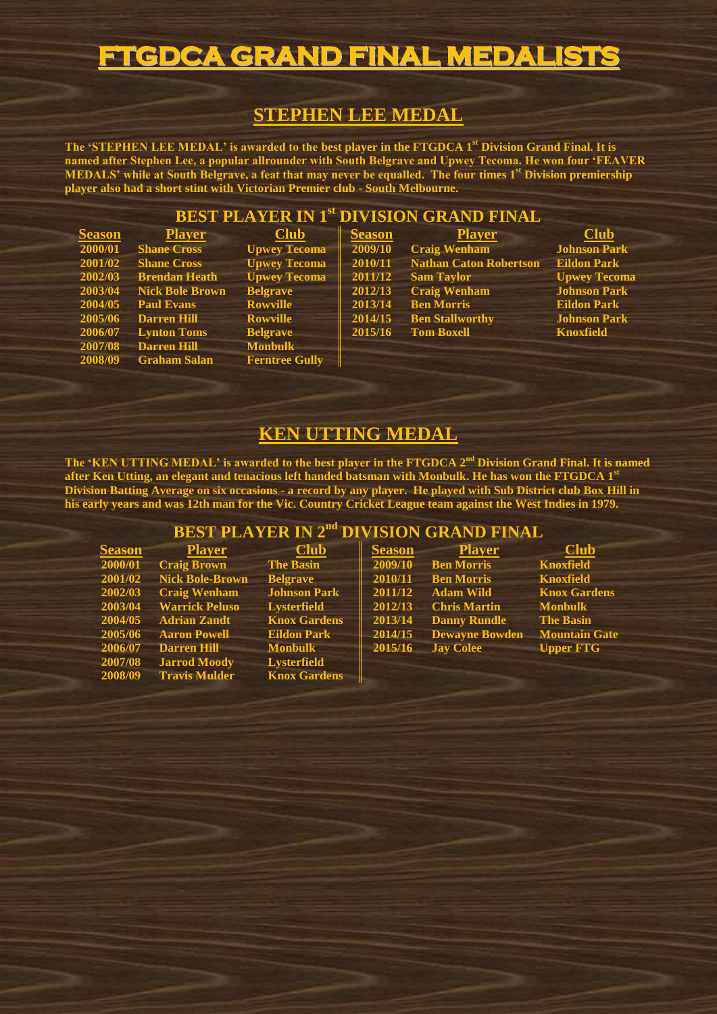# **FTGDCA GRAND FINAL MEDALISTS**

# **STEPHEN LEE MEDAL**

**The 'STEPHEN LEE MEDAL' is awarded to the best player in the FTGDCA 1st Division Grand Final. It is named after Stephen Lee, a popular allrounder with South Belgrave and Upwey Tecoma. He won four 'FEAVER MEDALS' while at South Belgrave, a feat that may never be equalled. The four times 1 st Division premiership player also had a short stint with Victorian Premier club - South Melbourne.**

#### **BEST PLAYER IN 1st DIVISION GRAND FINAL**

| <b>Season</b> | <b>Player</b>        | <b>Club</b>           | <b>Season</b> | <b>Player</b>                 | <b>Club</b>         |
|---------------|----------------------|-----------------------|---------------|-------------------------------|---------------------|
| 2000/01       | <b>Shane Cross</b>   | <b>Upwey Tecoma</b>   | 2009/10       | <b>Craig Wenham</b>           | <b>Johnson Park</b> |
| 2001/02       | <b>Shane Cross</b>   | <b>Upwey Tecoma</b>   | 2010/11       | <b>Nathan Caton Robertson</b> | <b>Eildon Park</b>  |
| 2002/03       | <b>Brendan Heath</b> | <b>Upwey Tecoma</b>   | 2011/12       | <b>Sam Taylor</b>             | <b>Upwey Tecoma</b> |
| 2003/04       | Nick Bole Brown      | <b>Belgrave</b>       | 2012/13       | <b>Craig Wenham</b>           | <b>Johnson Park</b> |
| 2004/05       | <b>Paul Evans</b>    | <b>Rowville</b>       | 2013/14       | <b>Ben Morris</b>             | <b>Eildon Park</b>  |
| 2005/06       | <b>Darren Hill</b>   | <b>Rowville</b>       | 2014/15       | <b>Ben Stallworthy</b>        | <b>Johnson Park</b> |
| 2006/07       | <b>Lynton Toms</b>   | <b>Belgrave</b>       | 2015/16       | <b>Tom Boxell</b>             | <b>Knoxfield</b>    |
| 2007/08       | <b>Darren Hill</b>   | <b>Monbulk</b>        |               |                               |                     |
| 2008/09       | <b>Graham Salan</b>  | <b>Ferntree Gully</b> |               |                               |                     |
|               |                      |                       |               |                               |                     |

# **KEN UTTING MEDAL**

**The 'KEN UTTING MEDAL' is awarded to the best player in the FTGDCA 2nd Division Grand Final. It is named after Ken Utting, an elegant and tenacious left handed batsman with Monbulk. He has won the FTGDCA 1st Division Batting Average on six occasions - a record by any player. He played with Sub District club Box Hill in his early years and was 12th man for the Vic. Country Cricket League team against the West Indies in 1979.** 

#### **BEST PLAYER IN 2nd DIVISION GRAND FINAL**

| <b>Season</b> | <b>Player</b>          | $\overline{\text{Club}}$ | <b>Season</b> | <b>Player</b>         | <b>Club</b>          |
|---------------|------------------------|--------------------------|---------------|-----------------------|----------------------|
| 2000/01       | <b>Craig Brown</b>     | <b>The Basin</b>         | 2009/10       | <b>Ben Morris</b>     | <b>Knoxfield</b>     |
| 2001/02       | <b>Nick Bole-Brown</b> | <b>Belgrave</b>          | 2010/11       | <b>Ben Morris</b>     | <b>Knoxfield</b>     |
| 2002/03       | <b>Craig Wenham</b>    | <b>Johnson Park</b>      | 2011/12       | <b>Adam Wild</b>      | <b>Knox Gardens</b>  |
| 2003/04       | <b>Warrick Peluso</b>  | <b>Lysterfield</b>       | 2012/13       | <b>Chris Martin</b>   | <b>Monbulk</b>       |
| 2004/05       | <b>Adrian Zandt</b>    | <b>Knox Gardens</b>      | 2013/14       | <b>Danny Rundle</b>   | <b>The Basin</b>     |
| 2005/06       | <b>Aaron Powell</b>    | <b>Eildon Park</b>       | 2014/15       | <b>Dewayne Bowden</b> | <b>Mountain Gate</b> |
| 2006/07       | <b>Darren Hill</b>     | <b>Monbulk</b>           | 2015/16       | <b>Jay Colee</b>      | <b>Upper FTG</b>     |
| 2007/08       | <b>Jarrod Moody</b>    | <b>Lysterfield</b>       |               |                       |                      |
| 2008/09       | <b>Travis Mulder</b>   | <b>Knox Gardens</b>      |               |                       |                      |